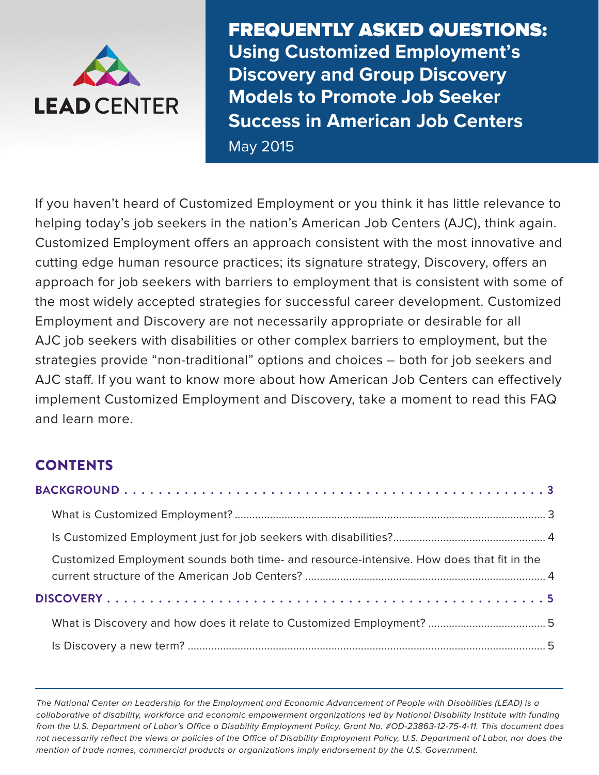<span id="page-0-0"></span>

FREQUENTLY ASKED QUESTIONS: **Using Customized Employment's Discovery and Group Discovery Models to Promote Job Seeker Success in American Job Centers** May 2015

If you haven't heard of Customized Employment or you think it has little relevance to helping today's job seekers in the nation's American Job Centers (AJC), think again. Customized Employment offers an approach consistent with the most innovative and cutting edge human resource practices; its signature strategy, Discovery, offers an approach for job seekers with barriers to employment that is consistent with some of the most widely accepted strategies for successful career development. Customized Employment and Discovery are not necessarily appropriate or desirable for all AJC job seekers with disabilities or other complex barriers to employment, but the strategies provide "non-traditional" options and choices – both for job seekers and AJC staff. If you want to know more about how American Job Centers can effectively implement Customized Employment and Discovery, take a moment to read this FAQ and learn more.

# **CONTENTS**

| Customized Employment sounds both time- and resource-intensive. How does that fit in the |  |
|------------------------------------------------------------------------------------------|--|
|                                                                                          |  |
|                                                                                          |  |
|                                                                                          |  |

The National Center on Leadership for the Employment and Economic Advancement of People with Disabilities (LEAD) is a collaborative of disability, workforce and economic empowerment organizations led by National Disability Institute with funding from the U.S. Department of Labor's Office o Disability Employment Policy, Grant No. #OD-23863-12-75-4-11. This document does not necessarily reflect the views or policies of the Office of Disability Employment Policy, U.S. Department of Labor, nor does the mention of trade names, commercial products or organizations imply endorsement by the U.S. Government.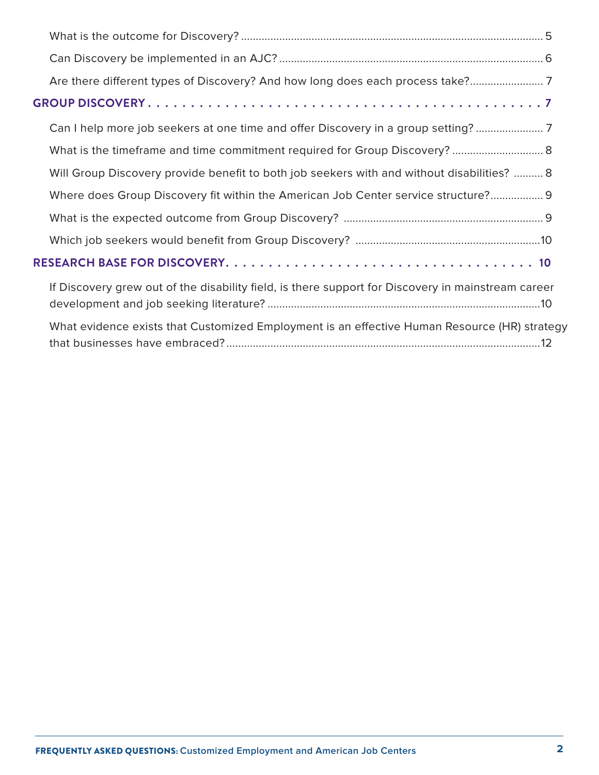|  | Are there different types of Discovery? And how long does each process take?                       |  |  |
|--|----------------------------------------------------------------------------------------------------|--|--|
|  |                                                                                                    |  |  |
|  | Can I help more job seekers at one time and offer Discovery in a group setting?                    |  |  |
|  | What is the timeframe and time commitment required for Group Discovery?  8                         |  |  |
|  | Will Group Discovery provide benefit to both job seekers with and without disabilities?  8         |  |  |
|  | Where does Group Discovery fit within the American Job Center service structure? 9                 |  |  |
|  |                                                                                                    |  |  |
|  |                                                                                                    |  |  |
|  |                                                                                                    |  |  |
|  | If Discovery grew out of the disability field, is there support for Discovery in mainstream career |  |  |
|  | What evidence exists that Customized Employment is an effective Human Resource (HR) strategy       |  |  |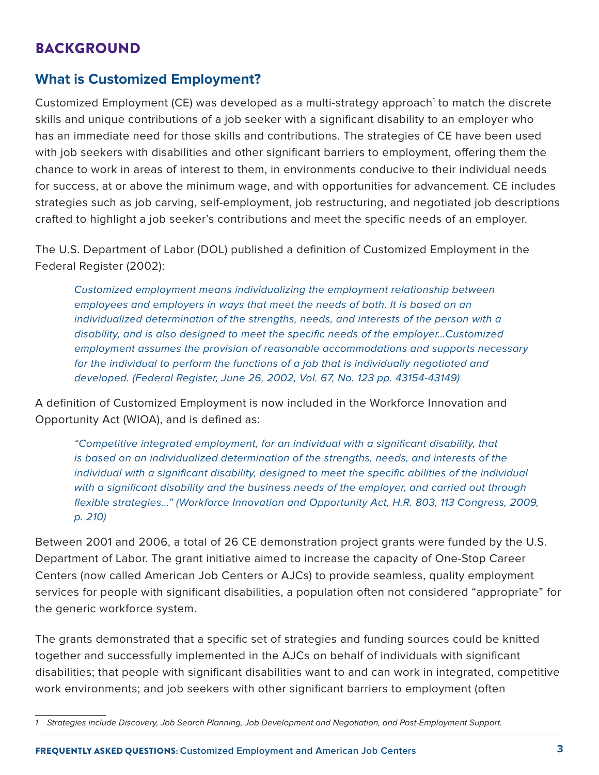# <span id="page-2-0"></span>BACKGROUND

### **What is Customized Employment?**

Customized Employment (CE) was developed as a multi-strategy approach<sup>1</sup> to match the discrete skills and unique contributions of a job seeker with a significant disability to an employer who has an immediate need for those skills and contributions. The strategies of CE have been used with job seekers with disabilities and other significant barriers to employment, offering them the chance to work in areas of interest to them, in environments conducive to their individual needs for success, at or above the minimum wage, and with opportunities for advancement. CE includes strategies such as job carving, self-employment, job restructuring, and negotiated job descriptions crafted to highlight a job seeker's contributions and meet the specific needs of an employer.

The U.S. Department of Labor (DOL) published a definition of Customized Employment in the Federal Register (2002):

Customized employment means individualizing the employment relationship between employees and employers in ways that meet the needs of both. It is based on an individualized determination of the strengths, needs, and interests of the person with a disability, and is also designed to meet the specific needs of the employer…Customized employment assumes the provision of reasonable accommodations and supports necessary for the individual to perform the functions of a job that is individually negotiated and developed. (Federal Register, June 26, 2002, Vol. 67, No. 123 pp. 43154-43149)

A definition of Customized Employment is now included in the Workforce Innovation and Opportunity Act (WIOA), and is defined as:

"Competitive integrated employment, for an individual with a significant disability, that is based on an individualized determination of the strengths, needs, and interests of the individual with a significant disability, designed to meet the specific abilities of the individual with a significant disability and the business needs of the employer, and carried out through flexible strategies..." (Workforce Innovation and Opportunity Act, H.R. 803, 113 Congress, 2009, p. 210)

Between 2001 and 2006, a total of 26 CE demonstration project grants were funded by the U.S. Department of Labor. The grant initiative aimed to increase the capacity of One-Stop Career Centers (now called American Job Centers or AJCs) to provide seamless, quality employment services for people with significant disabilities, a population often not considered "appropriate" for the generic workforce system.

The grants demonstrated that a specific set of strategies and funding sources could be knitted together and successfully implemented in the AJCs on behalf of individuals with significant disabilities; that people with significant disabilities want to and can work in integrated, competitive work environments; and job seekers with other significant barriers to employment (often

<sup>1</sup> Strategies include Discovery, Job Search Planning, Job Development and Negotiation, and Post-Employment Support.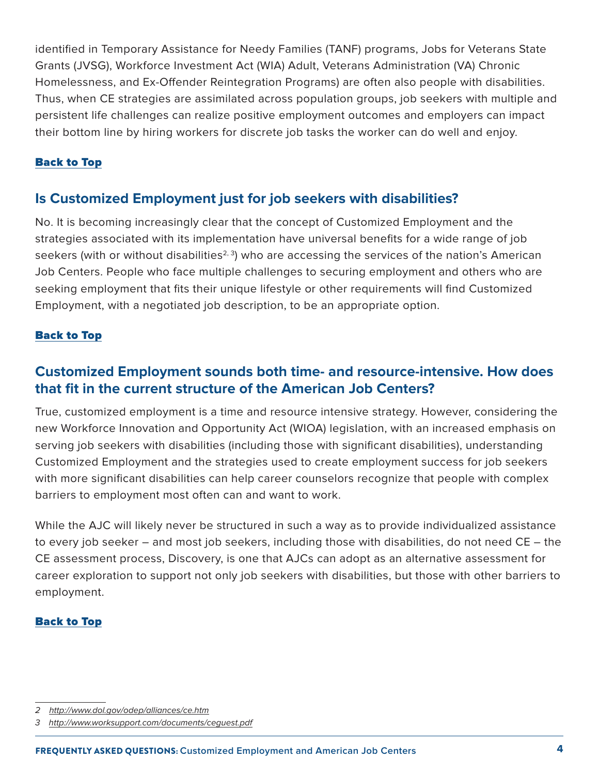<span id="page-3-0"></span>identified in Temporary Assistance for Needy Families (TANF) programs, Jobs for Veterans State Grants (JVSG), Workforce Investment Act (WIA) Adult, Veterans Administration (VA) Chronic Homelessness, and Ex-Offender Reintegration Programs) are often also people with disabilities. Thus, when CE strategies are assimilated across population groups, job seekers with multiple and persistent life challenges can realize positive employment outcomes and employers can impact their bottom line by hiring workers for discrete job tasks the worker can do well and enjoy.

### [Back to Top](#page-0-0)

## **Is Customized Employment just for job seekers with disabilities?**

No. It is becoming increasingly clear that the concept of Customized Employment and the strategies associated with its implementation have universal benefits for a wide range of job seekers (with or without disabilities<sup>2, 3</sup>) who are accessing the services of the nation's American Job Centers. People who face multiple challenges to securing employment and others who are seeking employment that fits their unique lifestyle or other requirements will find Customized Employment, with a negotiated job description, to be an appropriate option.

### [Back to Top](#page-0-0)

# **Customized Employment sounds both time- and resource-intensive. How does that fit in the current structure of the American Job Centers?**

True, customized employment is a time and resource intensive strategy. However, considering the new Workforce Innovation and Opportunity Act (WIOA) legislation, with an increased emphasis on serving job seekers with disabilities (including those with significant disabilities), understanding Customized Employment and the strategies used to create employment success for job seekers with more significant disabilities can help career counselors recognize that people with complex barriers to employment most often can and want to work.

While the AJC will likely never be structured in such a way as to provide individualized assistance to every job seeker – and most job seekers, including those with disabilities, do not need CE – the CE assessment process, Discovery, is one that AJCs can adopt as an alternative assessment for career exploration to support not only job seekers with disabilities, but those with other barriers to employment.

<sup>2</sup> <http://www.dol.gov/odep/alliances/ce.htm>

<sup>3</sup> <http://www.worksupport.com/documents/ceguest.pdf>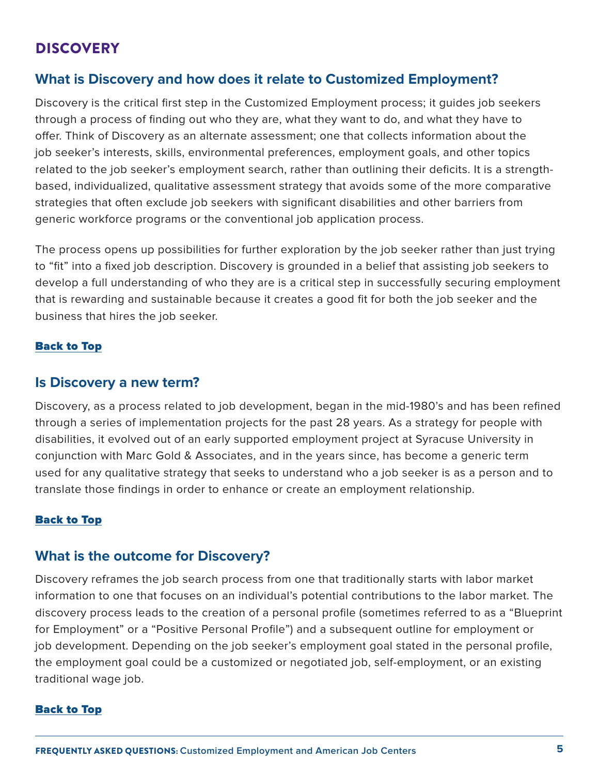## <span id="page-4-0"></span>**DISCOVERY**

### **What is Discovery and how does it relate to Customized Employment?**

Discovery is the critical first step in the Customized Employment process; it guides job seekers through a process of finding out who they are, what they want to do, and what they have to offer. Think of Discovery as an alternate assessment; one that collects information about the job seeker's interests, skills, environmental preferences, employment goals, and other topics related to the job seeker's employment search, rather than outlining their deficits. It is a strengthbased, individualized, qualitative assessment strategy that avoids some of the more comparative strategies that often exclude job seekers with significant disabilities and other barriers from generic workforce programs or the conventional job application process.

The process opens up possibilities for further exploration by the job seeker rather than just trying to "fit" into a fixed job description. Discovery is grounded in a belief that assisting job seekers to develop a full understanding of who they are is a critical step in successfully securing employment that is rewarding and sustainable because it creates a good fit for both the job seeker and the business that hires the job seeker.

### [Back to Top](#page-0-0)

### **Is Discovery a new term?**

Discovery, as a process related to job development, began in the mid-1980's and has been refined through a series of implementation projects for the past 28 years. As a strategy for people with disabilities, it evolved out of an early supported employment project at Syracuse University in conjunction with Marc Gold & Associates, and in the years since, has become a generic term used for any qualitative strategy that seeks to understand who a job seeker is as a person and to translate those findings in order to enhance or create an employment relationship.

### [Back to Top](#page-0-0)

### **What is the outcome for Discovery?**

Discovery reframes the job search process from one that traditionally starts with labor market information to one that focuses on an individual's potential contributions to the labor market. The discovery process leads to the creation of a personal profile (sometimes referred to as a "Blueprint for Employment" or a "Positive Personal Profile") and a subsequent outline for employment or job development. Depending on the job seeker's employment goal stated in the personal profile, the employment goal could be a customized or negotiated job, self-employment, or an existing traditional wage job.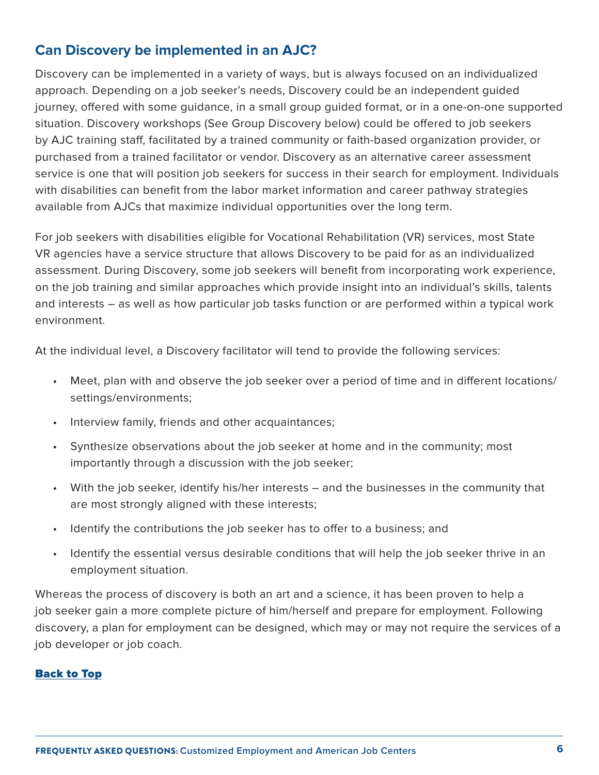# <span id="page-5-0"></span>**Can Discovery be implemented in an AJC?**

Discovery can be implemented in a variety of ways, but is always focused on an individualized approach. Depending on a job seeker's needs, Discovery could be an independent guided journey, offered with some guidance, in a small group guided format, or in a one-on-one supported situation. Discovery workshops (See Group Discovery below) could be offered to job seekers by AJC training staff, facilitated by a trained community or faith-based organization provider, or purchased from a trained facilitator or vendor. Discovery as an alternative career assessment service is one that will position job seekers for success in their search for employment. Individuals with disabilities can benefit from the labor market information and career pathway strategies available from AJCs that maximize individual opportunities over the long term.

For job seekers with disabilities eligible for Vocational Rehabilitation (VR) services, most State VR agencies have a service structure that allows Discovery to be paid for as an individualized assessment. During Discovery, some job seekers will benefit from incorporating work experience, on the job training and similar approaches which provide insight into an individual's skills, talents and interests – as well as how particular job tasks function or are performed within a typical work environment.

At the individual level, a Discovery facilitator will tend to provide the following services:

- Meet, plan with and observe the job seeker over a period of time and in different locations/ settings/environments;
- Interview family, friends and other acquaintances;
- Synthesize observations about the job seeker at home and in the community; most importantly through a discussion with the job seeker;
- With the job seeker, identify his/her interests and the businesses in the community that are most strongly aligned with these interests;
- Identify the contributions the job seeker has to offer to a business; and
- Identify the essential versus desirable conditions that will help the job seeker thrive in an employment situation.

Whereas the process of discovery is both an art and a science, it has been proven to help a job seeker gain a more complete picture of him/herself and prepare for employment. Following discovery, a plan for employment can be designed, which may or may not require the services of a job developer or job coach.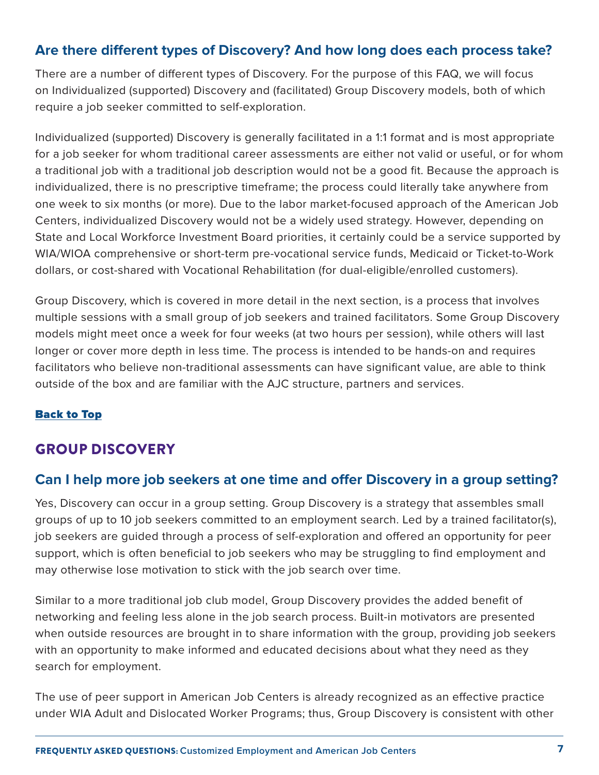## <span id="page-6-0"></span>**Are there different types of Discovery? And how long does each process take?**

There are a number of different types of Discovery. For the purpose of this FAQ, we will focus on Individualized (supported) Discovery and (facilitated) Group Discovery models, both of which require a job seeker committed to self-exploration.

Individualized (supported) Discovery is generally facilitated in a 1:1 format and is most appropriate for a job seeker for whom traditional career assessments are either not valid or useful, or for whom a traditional job with a traditional job description would not be a good fit. Because the approach is individualized, there is no prescriptive timeframe; the process could literally take anywhere from one week to six months (or more). Due to the labor market-focused approach of the American Job Centers, individualized Discovery would not be a widely used strategy. However, depending on State and Local Workforce Investment Board priorities, it certainly could be a service supported by WIA/WIOA comprehensive or short-term pre-vocational service funds, Medicaid or Ticket-to-Work dollars, or cost-shared with Vocational Rehabilitation (for dual-eligible/enrolled customers).

Group Discovery, which is covered in more detail in the next section, is a process that involves multiple sessions with a small group of job seekers and trained facilitators. Some Group Discovery models might meet once a week for four weeks (at two hours per session), while others will last longer or cover more depth in less time. The process is intended to be hands-on and requires facilitators who believe non-traditional assessments can have significant value, are able to think outside of the box and are familiar with the AJC structure, partners and services.

### [Back to Top](#page-0-0)

# GROUP DISCOVERY

## **Can I help more job seekers at one time and offer Discovery in a group setting?**

Yes, Discovery can occur in a group setting. Group Discovery is a strategy that assembles small groups of up to 10 job seekers committed to an employment search. Led by a trained facilitator(s), job seekers are guided through a process of self-exploration and offered an opportunity for peer support, which is often beneficial to job seekers who may be struggling to find employment and may otherwise lose motivation to stick with the job search over time.

Similar to a more traditional job club model, Group Discovery provides the added benefit of networking and feeling less alone in the job search process. Built-in motivators are presented when outside resources are brought in to share information with the group, providing job seekers with an opportunity to make informed and educated decisions about what they need as they search for employment.

The use of peer support in American Job Centers is already recognized as an effective practice under WIA Adult and Dislocated Worker Programs; thus, Group Discovery is consistent with other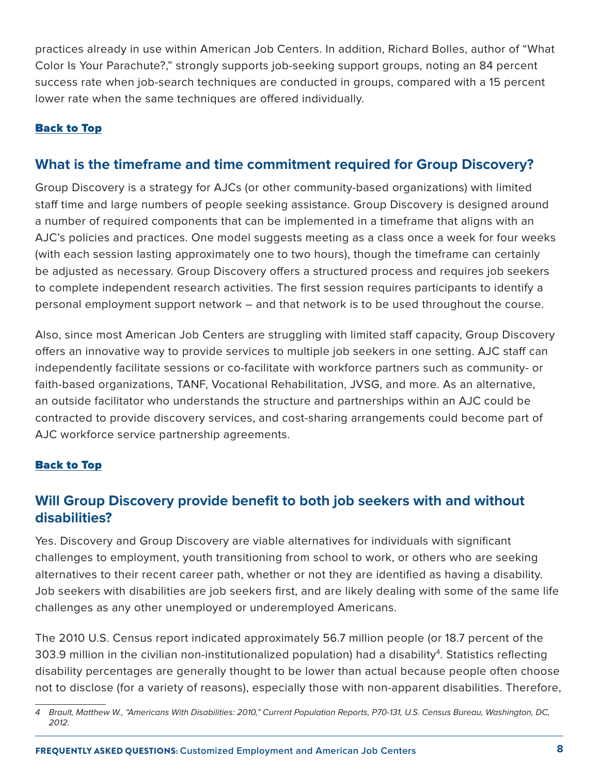<span id="page-7-0"></span>practices already in use within American Job Centers. In addition, Richard Bolles, author of "What Color Is Your Parachute?," strongly supports job-seeking support groups, noting an 84 percent success rate when job-search techniques are conducted in groups, compared with a 15 percent lower rate when the same techniques are offered individually.

### [Back to Top](#page-0-0)

### **What is the timeframe and time commitment required for Group Discovery?**

Group Discovery is a strategy for AJCs (or other community-based organizations) with limited staff time and large numbers of people seeking assistance. Group Discovery is designed around a number of required components that can be implemented in a timeframe that aligns with an AJC's policies and practices. One model suggests meeting as a class once a week for four weeks (with each session lasting approximately one to two hours), though the timeframe can certainly be adjusted as necessary. Group Discovery offers a structured process and requires job seekers to complete independent research activities. The first session requires participants to identify a personal employment support network – and that network is to be used throughout the course.

Also, since most American Job Centers are struggling with limited staff capacity, Group Discovery offers an innovative way to provide services to multiple job seekers in one setting. AJC staff can independently facilitate sessions or co-facilitate with workforce partners such as community- or faith-based organizations, TANF, Vocational Rehabilitation, JVSG, and more. As an alternative, an outside facilitator who understands the structure and partnerships within an AJC could be contracted to provide discovery services, and cost-sharing arrangements could become part of AJC workforce service partnership agreements.

### [Back to Top](#page-0-0)

## **Will Group Discovery provide benefit to both job seekers with and without disabilities?**

Yes. Discovery and Group Discovery are viable alternatives for individuals with significant challenges to employment, youth transitioning from school to work, or others who are seeking alternatives to their recent career path, whether or not they are identified as having a disability. Job seekers with disabilities are job seekers first, and are likely dealing with some of the same life challenges as any other unemployed or underemployed Americans.

The 2010 U.S. Census report indicated approximately 56.7 million people (or 18.7 percent of the 303.9 million in the civilian non-institutionalized population) had a disability4. Statistics reflecting disability percentages are generally thought to be lower than actual because people often choose not to disclose (for a variety of reasons), especially those with non-apparent disabilities. Therefore,

<sup>4</sup> Brault, Matthew W., "Americans With Disabilities: 2010," Current Population Reports, P70-131, U.S. Census Bureau, Washington, DC, 2012.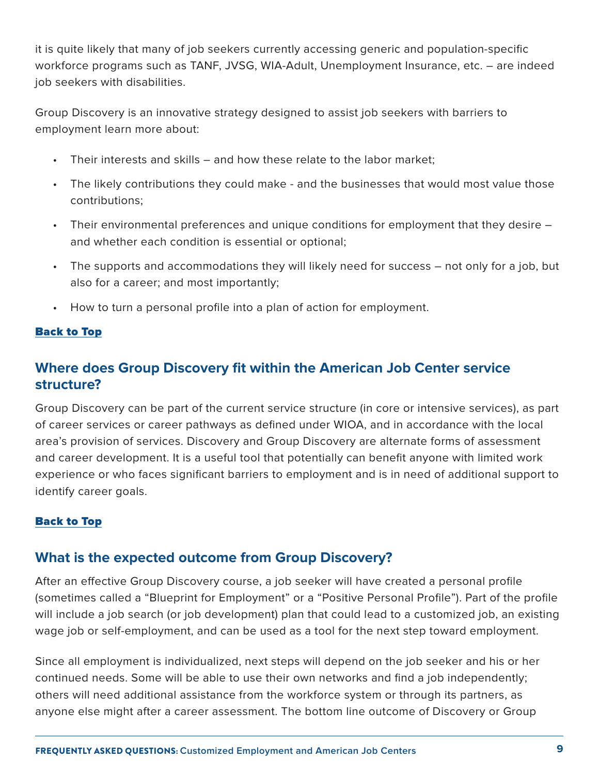<span id="page-8-0"></span>it is quite likely that many of job seekers currently accessing generic and population-specific workforce programs such as TANF, JVSG, WIA-Adult, Unemployment Insurance, etc. – are indeed job seekers with disabilities.

Group Discovery is an innovative strategy designed to assist job seekers with barriers to employment learn more about:

- Their interests and skills  $-$  and how these relate to the labor market;
- The likely contributions they could make and the businesses that would most value those contributions;
- Their environmental preferences and unique conditions for employment that they desire and whether each condition is essential or optional;
- The supports and accommodations they will likely need for success not only for a job, but also for a career; and most importantly;
- • How to turn a personal profile into a plan of action for employment.

### [Back to Top](#page-0-0)

# **Where does Group Discovery fit within the American Job Center service structure?**

Group Discovery can be part of the current service structure (in core or intensive services), as part of career services or career pathways as defined under WIOA, and in accordance with the local area's provision of services. Discovery and Group Discovery are alternate forms of assessment and career development. It is a useful tool that potentially can benefit anyone with limited work experience or who faces significant barriers to employment and is in need of additional support to identify career goals.

#### [Back to Top](#page-0-0)

### **What is the expected outcome from Group Discovery?**

After an effective Group Discovery course, a job seeker will have created a personal profile (sometimes called a "Blueprint for Employment" or a "Positive Personal Profile"). Part of the profile will include a job search (or job development) plan that could lead to a customized job, an existing wage job or self-employment, and can be used as a tool for the next step toward employment.

Since all employment is individualized, next steps will depend on the job seeker and his or her continued needs. Some will be able to use their own networks and find a job independently; others will need additional assistance from the workforce system or through its partners, as anyone else might after a career assessment. The bottom line outcome of Discovery or Group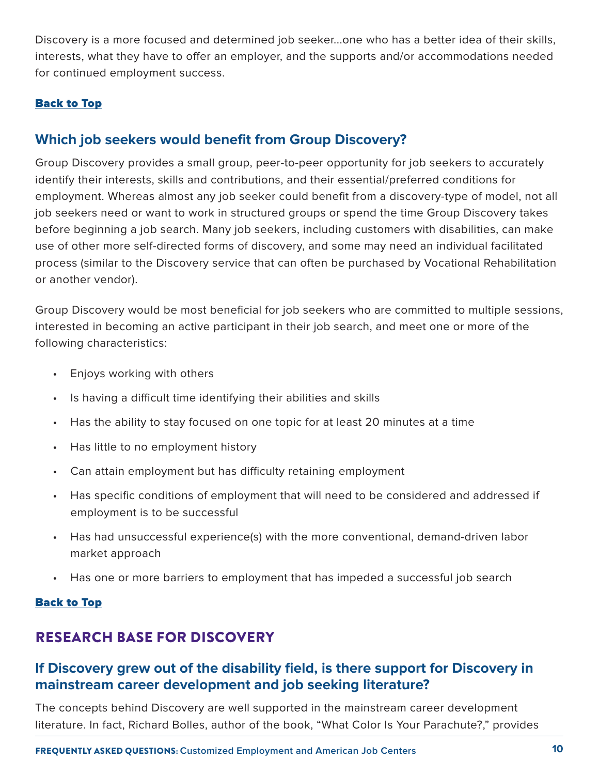<span id="page-9-0"></span>Discovery is a more focused and determined job seeker...one who has a better idea of their skills, interests, what they have to offer an employer, and the supports and/or accommodations needed for continued employment success.

### [Back to Top](#page-0-0)

### **Which job seekers would benefit from Group Discovery?**

Group Discovery provides a small group, peer-to-peer opportunity for job seekers to accurately identify their interests, skills and contributions, and their essential/preferred conditions for employment. Whereas almost any job seeker could benefit from a discovery-type of model, not all job seekers need or want to work in structured groups or spend the time Group Discovery takes before beginning a job search. Many job seekers, including customers with disabilities, can make use of other more self-directed forms of discovery, and some may need an individual facilitated process (similar to the Discovery service that can often be purchased by Vocational Rehabilitation or another vendor).

Group Discovery would be most beneficial for job seekers who are committed to multiple sessions, interested in becoming an active participant in their job search, and meet one or more of the following characteristics:

- • Enjoys working with others
- Is having a difficult time identifying their abilities and skills
- Has the ability to stay focused on one topic for at least 20 minutes at a time
- Has little to no employment history
- Can attain employment but has difficulty retaining employment
- Has specific conditions of employment that will need to be considered and addressed if employment is to be successful
- Has had unsuccessful experience(s) with the more conventional, demand-driven labor market approach
- Has one or more barriers to employment that has impeded a successful job search

#### [Back to Top](#page-0-0)

# RESEARCH BASE FOR DISCOVERY

# **If Discovery grew out of the disability field, is there support for Discovery in mainstream career development and job seeking literature?**

The concepts behind Discovery are well supported in the mainstream career development literature. In fact, Richard Bolles, author of the book, "What Color Is Your Parachute?," provides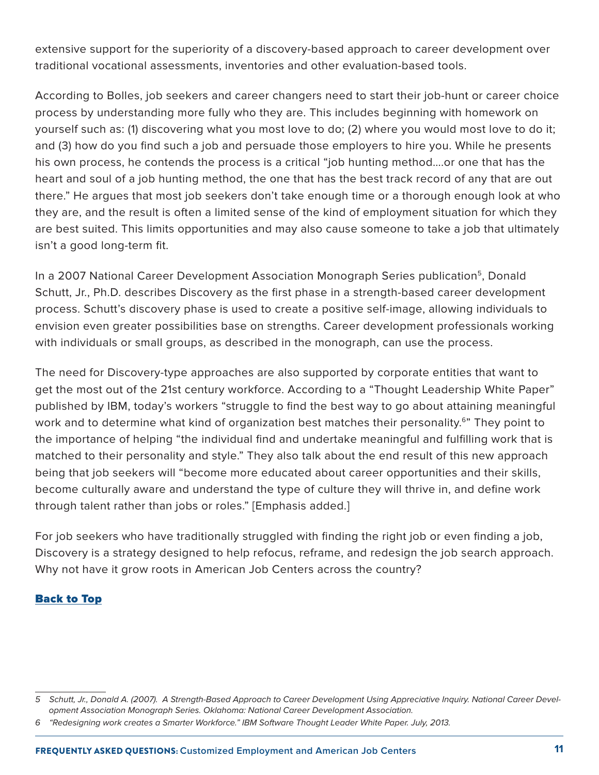extensive support for the superiority of a discovery-based approach to career development over traditional vocational assessments, inventories and other evaluation-based tools.

According to Bolles, job seekers and career changers need to start their job-hunt or career choice process by understanding more fully who they are. This includes beginning with homework on yourself such as: (1) discovering what you most love to do; (2) where you would most love to do it; and (3) how do you find such a job and persuade those employers to hire you. While he presents his own process, he contends the process is a critical "job hunting method….or one that has the heart and soul of a job hunting method, the one that has the best track record of any that are out there." He argues that most job seekers don't take enough time or a thorough enough look at who they are, and the result is often a limited sense of the kind of employment situation for which they are best suited. This limits opportunities and may also cause someone to take a job that ultimately isn't a good long-term fit.

In a 2007 National Career Development Association Monograph Series publication<sup>5</sup>, Donald Schutt, Jr., Ph.D. describes Discovery as the first phase in a strength-based career development process. Schutt's discovery phase is used to create a positive self-image, allowing individuals to envision even greater possibilities base on strengths. Career development professionals working with individuals or small groups, as described in the monograph, can use the process.

The need for Discovery-type approaches are also supported by corporate entities that want to get the most out of the 21st century workforce. According to a "Thought Leadership White Paper" published by IBM, today's workers "struggle to find the best way to go about attaining meaningful work and to determine what kind of organization best matches their personality.<sup>6</sup>" They point to the importance of helping "the individual find and undertake meaningful and fulfilling work that is matched to their personality and style." They also talk about the end result of this new approach being that job seekers will "become more educated about career opportunities and their skills, become culturally aware and understand the type of culture they will thrive in, and define work through talent rather than jobs or roles." [Emphasis added.]

For job seekers who have traditionally struggled with finding the right job or even finding a job, Discovery is a strategy designed to help refocus, reframe, and redesign the job search approach. Why not have it grow roots in American Job Centers across the country?

<sup>5</sup> Schutt, Jr., Donald A. (2007). A Strength-Based Approach to Career Development Using Appreciative Inquiry. National Career Development Association Monograph Series. Oklahoma: National Career Development Association.

<sup>6</sup> "Redesigning work creates a Smarter Workforce." IBM Software Thought Leader White Paper. July, 2013.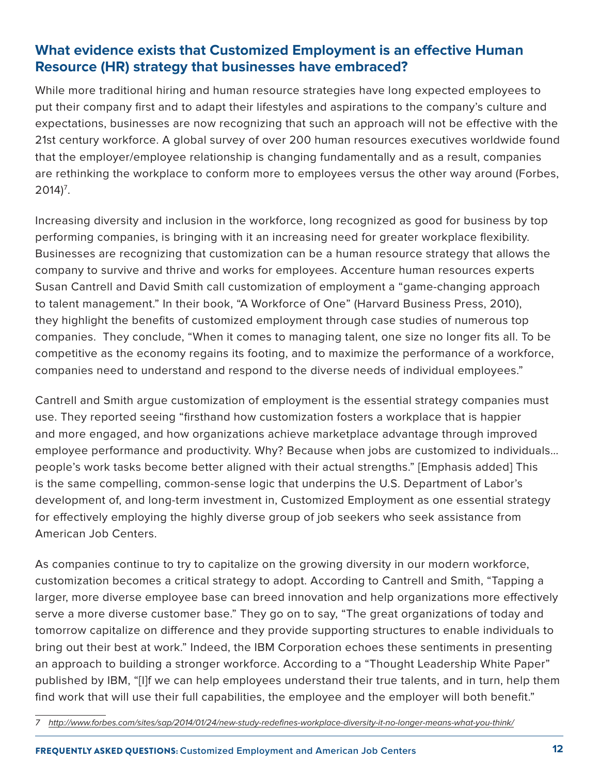# <span id="page-11-0"></span>**What evidence exists that Customized Employment is an effective Human Resource (HR) strategy that businesses have embraced?**

While more traditional hiring and human resource strategies have long expected employees to put their company first and to adapt their lifestyles and aspirations to the company's culture and expectations, businesses are now recognizing that such an approach will not be effective with the 21st century workforce. A global survey of over 200 human resources executives worldwide found that the employer/employee relationship is changing fundamentally and as a result, companies are rethinking the workplace to conform more to employees versus the other way around (Forbes,  $2014$ <sup>7</sup>.

Increasing diversity and inclusion in the workforce, long recognized as good for business by top performing companies, is bringing with it an increasing need for greater workplace flexibility. Businesses are recognizing that customization can be a human resource strategy that allows the company to survive and thrive and works for employees. Accenture human resources experts Susan Cantrell and David Smith call customization of employment a "game-changing approach to talent management." In their book, "A Workforce of One" (Harvard Business Press, 2010), they highlight the benefits of customized employment through case studies of numerous top companies. They conclude, "When it comes to managing talent, one size no longer fits all. To be competitive as the economy regains its footing, and to maximize the performance of a workforce, companies need to understand and respond to the diverse needs of individual employees."

Cantrell and Smith argue customization of employment is the essential strategy companies must use. They reported seeing "firsthand how customization fosters a workplace that is happier and more engaged, and how organizations achieve marketplace advantage through improved employee performance and productivity. Why? Because when jobs are customized to individuals… people's work tasks become better aligned with their actual strengths." [Emphasis added] This is the same compelling, common-sense logic that underpins the U.S. Department of Labor's development of, and long-term investment in, Customized Employment as one essential strategy for effectively employing the highly diverse group of job seekers who seek assistance from American Job Centers.

As companies continue to try to capitalize on the growing diversity in our modern workforce, customization becomes a critical strategy to adopt. According to Cantrell and Smith, "Tapping a larger, more diverse employee base can breed innovation and help organizations more effectively serve a more diverse customer base." They go on to say, "The great organizations of today and tomorrow capitalize on difference and they provide supporting structures to enable individuals to bring out their best at work." Indeed, the IBM Corporation echoes these sentiments in presenting an approach to building a stronger workforce. According to a "Thought Leadership White Paper" published by IBM, "[I]f we can help employees understand their true talents, and in turn, help them find work that will use their full capabilities, the employee and the employer will both benefit."

<sup>7</sup> <http://www.forbes.com/sites/sap/2014/01/24/new-study-redefines-workplace-diversity-it-no-longer-means-what-you-think/>